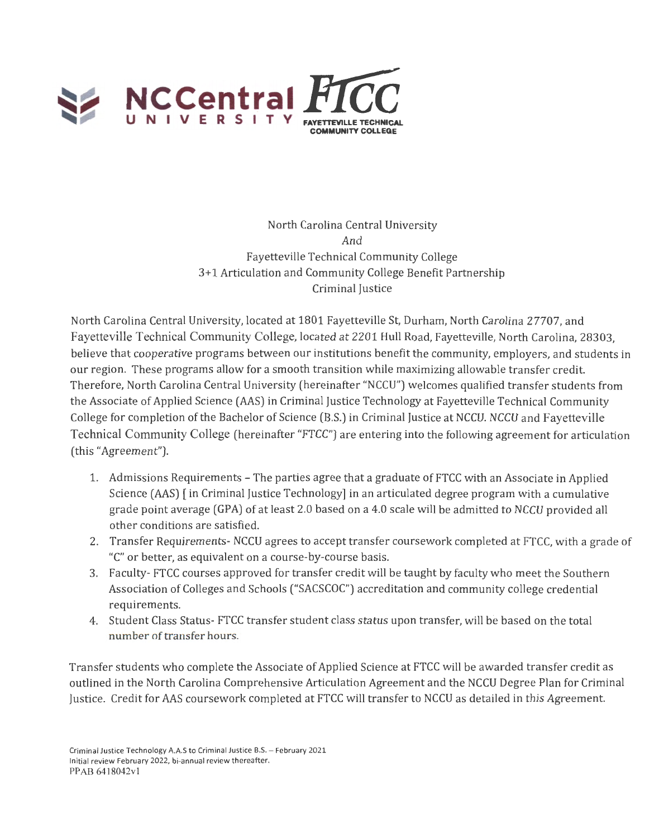

North Carolina Central University And Fayetteville Technical Community College 3+1 Articulation and Community College Benefit Partnership Criminal Justice

North Carolina Central University, located at 1801 Fayetteville St, Durham, North Carolina 27707, and Fayetteville Technical Community College, located at 2201 Hull Road, Fayetteville, North Carolina, 28303, believe that cooperative programs between our institutions benefit the community, employers, and students in our region. These programs allow for a smooth transition while maximizing allowable transfer credit. Therefore, North Carolina Central University (hereinafter "NCCU") welcomes qualified transfer students from the Associate of Applied Science (AAS) in Criminal Justice Technology at Fayetteville Technical Community College for completion of the Bachelor of Science (B.S.) in Criminal Justice at NCCU. NCCU and Fayetteville Technical Community College (hereinafter "FTCC") are entering into the following agreement for articulation (this "Agreement").

- 1. Admissions Requirements The parties agree that a graduate of FTCC with an Associate in Applied Science (AAS) [ in Criminal Justice Technology] in an articulated degree program with a cumulative grade point average (GPA) of at least 2.0 based on a 4.0 scale will be admitted to NCCU provided all other conditions are satisfied.
- 2. Transfer Requirements- NCCU agrees to accept transfer coursework completed at FTCC, with a grade of "C" or better, as equivalent on a course-by-course basis.
- 3. Faculty- FTCC courses approved for transfer credit will be taught by faculty who meet the Southern Association of Colleges and Schools ("SACSCOC") accreditation and community college credential requirements.
- 4. Student Class Status- FTCC transfer student class status upon transfer, will be based on the total number of transfer hours.

Transfer students who complete the Associate of Applied Science at FTCC will be awarded transfer credit as outlined in the North Carolina Comprehensive Articulation Agreement and the NCCU Degree Plan for Criminal Justice. Credit for AAS coursework completed at FTCC will transfer to NCCU as detailed in this Agreement.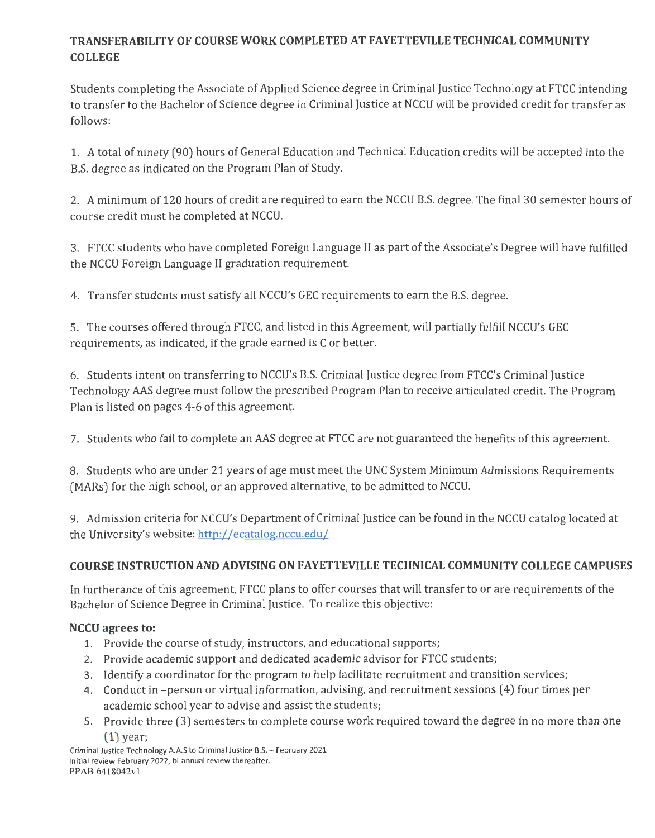# **TRANSFERABILITY OF COURSE WORK COMPLETED AT FAYETTEVILLE TECHNICAL COMMUNITY COLLEGE**

Students completing the Associate of Applied Science degree in Criminal Justice Technology at FTCC intending to transfer to the Bachelor of Science degree in Criminal Justice at NCCU will be provided credit for transfer as follows:

1. A total of ninety (90) hours of General Education and Technical Education credits will be accepted into the B.S. degree as indicated on the Program Plan of Study.

2. A minimum of 120 hours of credit are required to earn the NCCU B.S. degree. The final 30 semester hours of course credit must be completed at NCCU.

3. FTCC students who have completed Foreign Language II as part of the Associate's Degree will have fulfilled the NCCU Foreign Language II graduation requirement.

4. Transfer students must satisfy all NCCU's GEC requirements to earn the B.S. degree.

5. The courses offered through FTCC, and listed in this Agreement, will partially fulfill NCCU's GEC requirements, as indicated, if the grade earned is C or better.

6. Students intent on transferring to NCCU's 8.S. Criminal Justice degree from FTCC's Criminal Justice Technology AAS degree must follow the prescribed Program Plan to receive articulated credit. The Program Plan is listed on pages 4-6 of this agreement.

7. Students who fail to complete an AAS degree at FTCC are not guaranteed the benefits of this agreement.

8. Students who are under 21 years of age must meetthe UNC System Minimum Admissions Requirements (MARs) for the high school, or an approved alternative, to be admitted to NCCU.

9. Admission criteria for NCCU's Department of Criminal Justice can be found in the NCCU catalog located at the University's website: http://ecatalog.nccu.edu/

## **COURSE INSTRUCTION AND ADVISING ON FAYETTEVILLE TECHNICAL COMMUNITY COLLEGE CAMPUSES**

In furtherance of this agreement, FTCC plans to offer courses that will transfer to or are requirements of the Bachelor of Science Degree in Criminal Justice. To realize this objective:

## **NCCU agrees to:**

- 1. Provide the course of study, instructors, and educational supports;
- 2. Provide academic support and dedicated academic advisor for FTCC students;
- 3. Identify a coordinator for the program to help facilitate recruitment and transition services;
- 4. Conduct in -person or virtual information, advising, and recruitment sessions ( 4) four times per academic school year to advise and assist the students;
- 5. Provide three (3) semesters to complete course work required toward the degree in no more than one  $(1)$  year;

Criminal Justice Technology A.A.S to Criminal Justice B.S. - February 2021 Initial review February 2022, bi-annual review thereafter. PP AB 6418042v I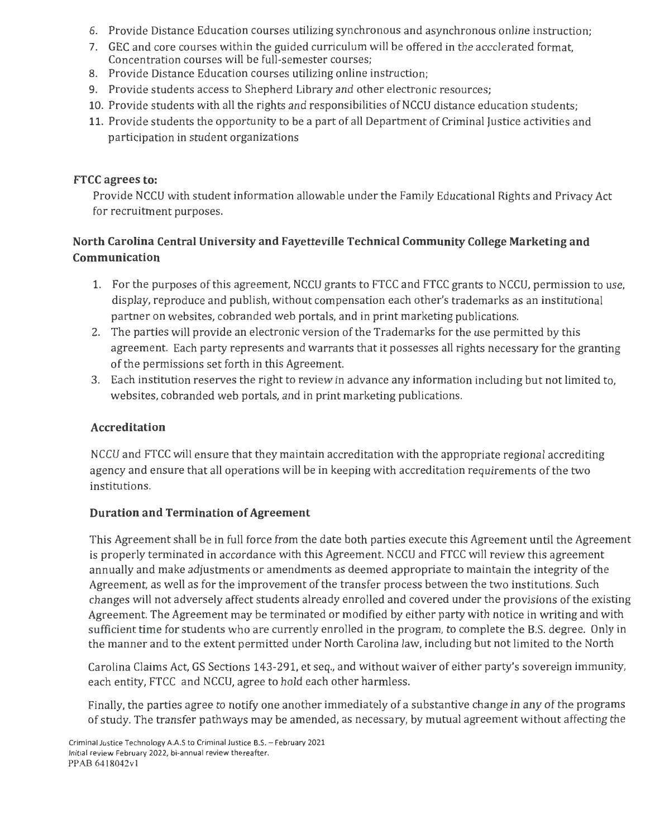- 6. Provide Distance Education courses utilizing synchronous and asynchronous online instruction;
- 7. GEC and core courses within the guided curriculum will be offered in the accelerated format, Concentration courses will be full-semester courses;
- 8. Provide Distance Education courses utilizing online instruction;
- 9. Provide students access to Shepherd Library and other electronic resources;
- 10. Provide students with all the rights and responsibilities of NCCU distance education students;
- 11. Provide students the opportunity to be a part of all Department of Criminal Justice activities and participation in student organizations

#### **FTCC agrees to:**

Provide NCCU with student information allowable under the Family Educational Rights and Privacy Act for recruitment purposes.

## **North Carolina Central University and Fayetteville Technical Community College Marketing and Communication**

- 1. For the purposes of this agreement, NCCU grants to FTCC and FTCC grants to NCCU, permission to use, display, reproduce and publish, without compensation each other's trademarks as an institutional partner on websites, cobranded web portals, and in print marketing publications.
- 2. The parties will provide an electronic version of the Trademarks for the use permitted by this agreement. Each party represents and warrants that it possesses all rights necessary for the granting of the permissions set forth in this Agreement.
- 3. Each institution reserves the right to review in advance any information including but not limited to, websites, cobranded web portals, and in print marketing publications.

## **Accreditation**

NCCU and FTCC will ensure that they maintain accreditation with the appropriate regional accrediting agency and ensure that all operations will be in keeping with accreditation requirements of the two institutions.

## **Duration and Termination of Agreement**

This Agreement shall be in full force from the date both parties execute this Agreement until the Agreement is properly terminated in accordance with this Agreement. NCCU and FTCC will review this agreement annually and make adjustments or amendments as deemed appropriate to maintain the integrity of the Agreement, as well as for the improvement of the transfer process between the two institutions. Such changes will not adversely affect students already enrolled and covered under the provisions of the existing Agreement. The Agreement may be terminated or modified by either party with notice in writing and with sufficient time for students who are currently enrolled in the program, to complete the B.S. degree. Only in the manner and to the extent permitted under North Carolina law, including but not limited to the North

Carolina Claims Act, GS Sections 143-291, et seq., and without waiver of either party's sovereign immunity, each entity, FTCC and NCCU, agree to hold each other harmless.

Finally, the parties agree to notify one another immediately of a substantive change in any of the programs of study. The transfer pathways may be amended, as necessary, by mutual agreement without affecting the